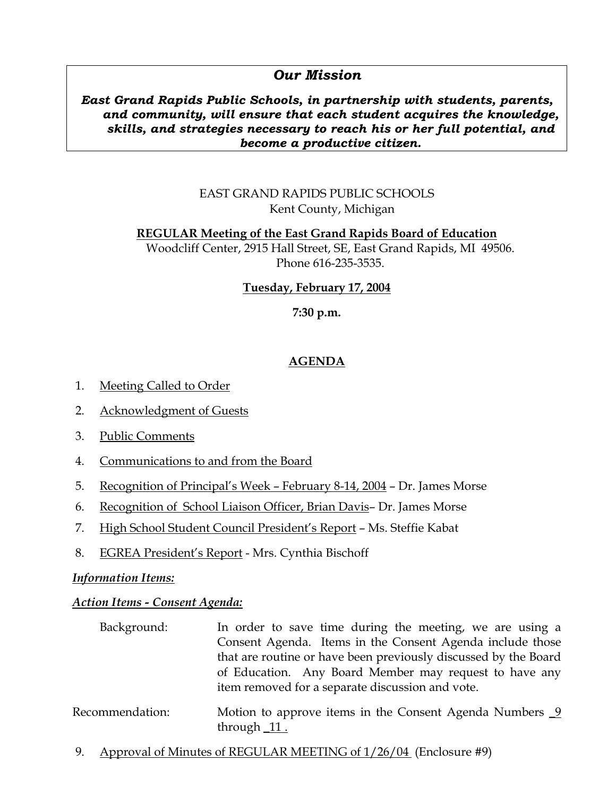# *Our Mission*

# *East Grand Rapids Public Schools, in partnership with students, parents, and community, will ensure that each student acquires the knowledge, skills, and strategies necessary to reach his or her full potential, and become a productive citizen.*

# EAST GRAND RAPIDS PUBLIC SCHOOLS Kent County, Michigan

# **REGULAR Meeting of the East Grand Rapids Board of Education** Woodcliff Center, 2915 Hall Street, SE, East Grand Rapids, MI 49506. Phone 616-235-3535.

# **Tuesday, February 17, 2004**

# **7:30 p.m.**

# **AGENDA**

- 1. Meeting Called to Order
- 2. Acknowledgment of Guests
- 3. Public Comments
- 4. Communications to and from the Board
- 5. Recognition of Principal's Week February 8-14, 2004 Dr. James Morse
- 6. Recognition of School Liaison Officer, Brian Davis– Dr. James Morse
- 7. High School Student Council President's Report Ms. Steffie Kabat
- 8. EGREA President's Report Mrs. Cynthia Bischoff

# *Information Items:*

# *Action Items - Consent Agenda:*

| Background:     | In order to save time during the meeting, we are using a                    |
|-----------------|-----------------------------------------------------------------------------|
|                 | Consent Agenda. Items in the Consent Agenda include those                   |
|                 | that are routine or have been previously discussed by the Board             |
|                 | of Education. Any Board Member may request to have any                      |
|                 | item removed for a separate discussion and vote.                            |
| Recommendation: | Motion to approve items in the Consent Agenda Numbers $9$<br>through $11$ . |

9. Approval of Minutes of REGULAR MEETING of 1/26/04 (Enclosure #9)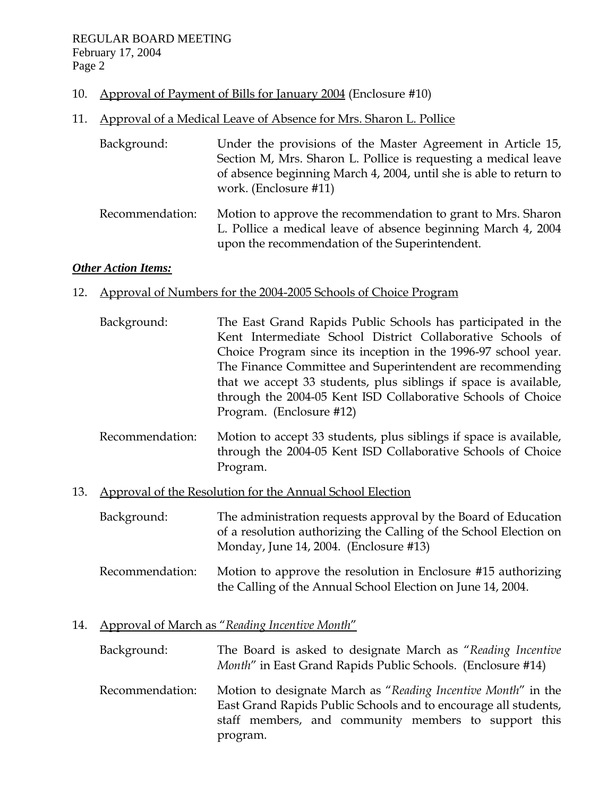- 10. Approval of Payment of Bills for January 2004 (Enclosure #10)
- 11. Approval of a Medical Leave of Absence for Mrs. Sharon L. Pollice

| Background:     | Under the provisions of the Master Agreement in Article 15,<br>Section M, Mrs. Sharon L. Pollice is requesting a medical leave<br>of absence beginning March 4, 2004, until she is able to return to<br>work. (Enclosure #11) |
|-----------------|-------------------------------------------------------------------------------------------------------------------------------------------------------------------------------------------------------------------------------|
| Recommendation: | Motion to approve the recommendation to grant to Mrs. Sharon<br>L. Pollice a medical leave of absence beginning March 4, 2004<br>upon the recommendation of the Superintendent.                                               |

# *Other Action Items:*

# 12. Approval of Numbers for the 2004-2005 Schools of Choice Program

- Background: The East Grand Rapids Public Schools has participated in the Kent Intermediate School District Collaborative Schools of Choice Program since its inception in the 1996-97 school year. The Finance Committee and Superintendent are recommending that we accept 33 students, plus siblings if space is available, through the 2004-05 Kent ISD Collaborative Schools of Choice Program. (Enclosure #12)
- Recommendation: Motion to accept 33 students, plus siblings if space is available, through the 2004-05 Kent ISD Collaborative Schools of Choice Program.
- 13. Approval of the Resolution for the Annual School Election

 Background: The administration requests approval by the Board of Education of a resolution authorizing the Calling of the School Election on Monday, June 14, 2004. (Enclosure #13)

 Recommendation: Motion to approve the resolution in Enclosure #15 authorizing the Calling of the Annual School Election on June 14, 2004.

# 14. Approval of March as "*Reading Incentive Month*"

 Background: The Board is asked to designate March as "*Reading Incentive Month*" in East Grand Rapids Public Schools. (Enclosure #14) Recommendation: Motion to designate March as "*Reading Incentive Month*" in the East Grand Rapids Public Schools and to encourage all students, staff members, and community members to support this program.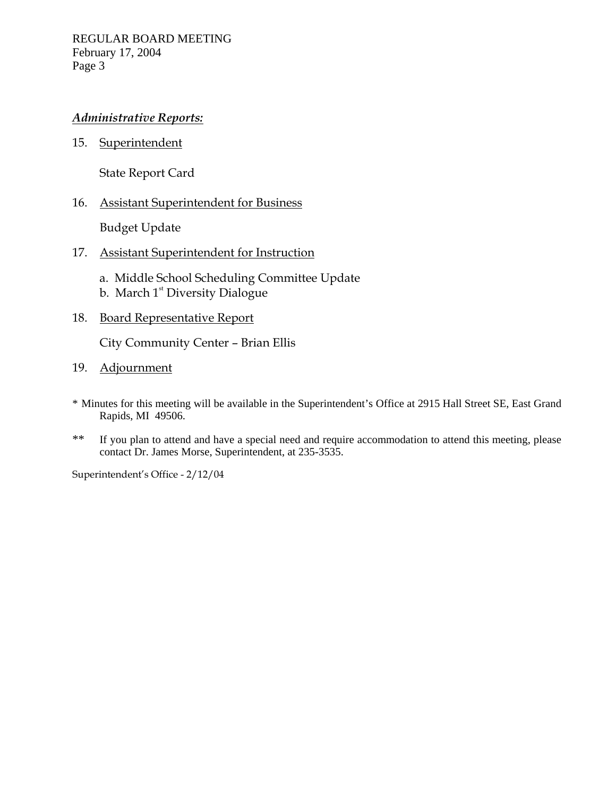# *Administrative Reports:*

15. Superintendent

State Report Card

## 16. Assistant Superintendent for Business

Budget Update

## 17. Assistant Superintendent for Instruction

- a. Middle School Scheduling Committee Update
- b. March  $1<sup>st</sup>$  Diversity Dialogue

## 18. Board Representative Report

City Community Center – Brian Ellis

- 19. Adjournment
- \* Minutes for this meeting will be available in the Superintendent's Office at 2915 Hall Street SE, East Grand Rapids, MI 49506.
- \*\* If you plan to attend and have a special need and require accommodation to attend this meeting, please contact Dr. James Morse, Superintendent, at 235-3535.

Superintendent's Office - 2/12/04